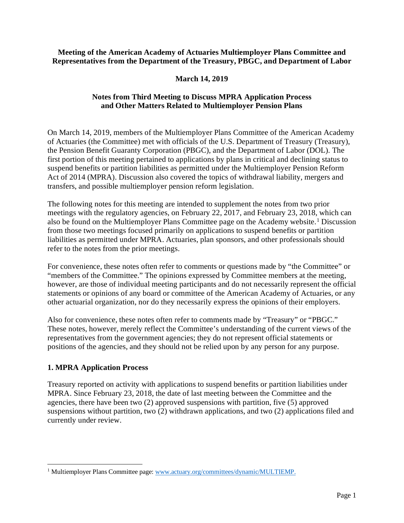### **Meeting of the American Academy of Actuaries Multiemployer Plans Committee and Representatives from the Department of the Treasury, PBGC, and Department of Labor**

# **March 14, 2019**

# **Notes from Third Meeting to Discuss MPRA Application Process and Other Matters Related to Multiemployer Pension Plans**

On March 14, 2019, members of the Multiemployer Plans Committee of the American Academy of Actuaries (the Committee) met with officials of the U.S. Department of Treasury (Treasury), the Pension Benefit Guaranty Corporation (PBGC), and the Department of Labor (DOL). The first portion of this meeting pertained to applications by plans in critical and declining status to suspend benefits or partition liabilities as permitted under the Multiemployer Pension Reform Act of 2014 (MPRA). Discussion also covered the topics of withdrawal liability, mergers and transfers, and possible multiemployer pension reform legislation.

The following notes for this meeting are intended to supplement the notes from two prior meetings with the regulatory agencies, on February 22, 2017, and February 23, 2018, which can also be found on the Multiemployer Plans Committee page on the Academy website.<sup>[1](#page-0-0)</sup> Discussion from those two meetings focused primarily on applications to suspend benefits or partition liabilities as permitted under MPRA. Actuaries, plan sponsors, and other professionals should refer to the notes from the prior meetings.

For convenience, these notes often refer to comments or questions made by "the Committee" or "members of the Committee." The opinions expressed by Committee members at the meeting, however, are those of individual meeting participants and do not necessarily represent the official statements or opinions of any board or committee of the American Academy of Actuaries, or any other actuarial organization, nor do they necessarily express the opinions of their employers.

Also for convenience, these notes often refer to comments made by "Treasury" or "PBGC." These notes, however, merely reflect the Committee's understanding of the current views of the representatives from the government agencies; they do not represent official statements or positions of the agencies, and they should not be relied upon by any person for any purpose.

# **1. MPRA Application Process**

Treasury reported on activity with applications to suspend benefits or partition liabilities under MPRA. Since February 23, 2018, the date of last meeting between the Committee and the agencies, there have been two (2) approved suspensions with partition, five (5) approved suspensions without partition, two (2) withdrawn applications, and two (2) applications filed and currently under review.

<span id="page-0-0"></span><sup>&</sup>lt;sup>1</sup> Multiemployer Plans Committee page: [www.actuary.org/committees/dynamic/MULTIEMP.](http://www.actuary.org/committees/dynamic/MULTIEMP)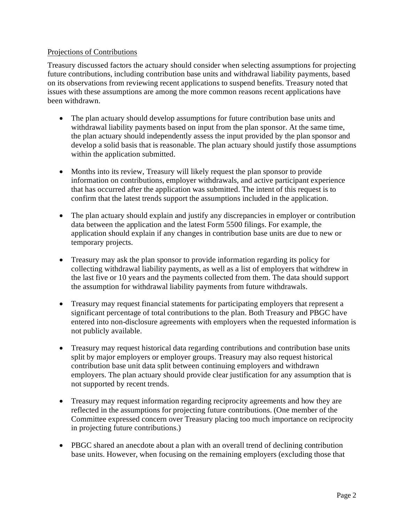### Projections of Contributions

Treasury discussed factors the actuary should consider when selecting assumptions for projecting future contributions, including contribution base units and withdrawal liability payments, based on its observations from reviewing recent applications to suspend benefits. Treasury noted that issues with these assumptions are among the more common reasons recent applications have been withdrawn.

- The plan actuary should develop assumptions for future contribution base units and withdrawal liability payments based on input from the plan sponsor. At the same time, the plan actuary should independently assess the input provided by the plan sponsor and develop a solid basis that is reasonable. The plan actuary should justify those assumptions within the application submitted.
- Months into its review, Treasury will likely request the plan sponsor to provide information on contributions, employer withdrawals, and active participant experience that has occurred after the application was submitted. The intent of this request is to confirm that the latest trends support the assumptions included in the application.
- The plan actuary should explain and justify any discrepancies in employer or contribution data between the application and the latest Form 5500 filings. For example, the application should explain if any changes in contribution base units are due to new or temporary projects.
- Treasury may ask the plan sponsor to provide information regarding its policy for collecting withdrawal liability payments, as well as a list of employers that withdrew in the last five or 10 years and the payments collected from them. The data should support the assumption for withdrawal liability payments from future withdrawals.
- Treasury may request financial statements for participating employers that represent a significant percentage of total contributions to the plan. Both Treasury and PBGC have entered into non-disclosure agreements with employers when the requested information is not publicly available.
- Treasury may request historical data regarding contributions and contribution base units split by major employers or employer groups. Treasury may also request historical contribution base unit data split between continuing employers and withdrawn employers. The plan actuary should provide clear justification for any assumption that is not supported by recent trends.
- Treasury may request information regarding reciprocity agreements and how they are reflected in the assumptions for projecting future contributions. (One member of the Committee expressed concern over Treasury placing too much importance on reciprocity in projecting future contributions.)
- PBGC shared an anecdote about a plan with an overall trend of declining contribution base units. However, when focusing on the remaining employers (excluding those that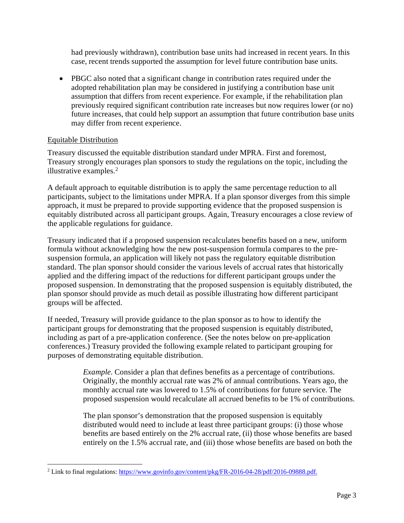had previously withdrawn), contribution base units had increased in recent years. In this case, recent trends supported the assumption for level future contribution base units.

• PBGC also noted that a significant change in contribution rates required under the adopted rehabilitation plan may be considered in justifying a contribution base unit assumption that differs from recent experience. For example, if the rehabilitation plan previously required significant contribution rate increases but now requires lower (or no) future increases, that could help support an assumption that future contribution base units may differ from recent experience.

# Equitable Distribution

Treasury discussed the equitable distribution standard under MPRA. First and foremost, Treasury strongly encourages plan sponsors to study the regulations on the topic, including the illustrative examples.<sup>[2](#page-2-0)</sup>

A default approach to equitable distribution is to apply the same percentage reduction to all participants, subject to the limitations under MPRA. If a plan sponsor diverges from this simple approach, it must be prepared to provide supporting evidence that the proposed suspension is equitably distributed across all participant groups. Again, Treasury encourages a close review of the applicable regulations for guidance.

Treasury indicated that if a proposed suspension recalculates benefits based on a new, uniform formula without acknowledging how the new post-suspension formula compares to the presuspension formula, an application will likely not pass the regulatory equitable distribution standard. The plan sponsor should consider the various levels of accrual rates that historically applied and the differing impact of the reductions for different participant groups under the proposed suspension. In demonstrating that the proposed suspension is equitably distributed, the plan sponsor should provide as much detail as possible illustrating how different participant groups will be affected.

If needed, Treasury will provide guidance to the plan sponsor as to how to identify the participant groups for demonstrating that the proposed suspension is equitably distributed, including as part of a pre-application conference. (See the notes below on pre-application conferences.) Treasury provided the following example related to participant grouping for purposes of demonstrating equitable distribution.

> *Example.* Consider a plan that defines benefits as a percentage of contributions. Originally, the monthly accrual rate was 2% of annual contributions. Years ago, the monthly accrual rate was lowered to 1.5% of contributions for future service. The proposed suspension would recalculate all accrued benefits to be 1% of contributions.

> The plan sponsor's demonstration that the proposed suspension is equitably distributed would need to include at least three participant groups: (i) those whose benefits are based entirely on the 2% accrual rate, (ii) those whose benefits are based entirely on the 1.5% accrual rate, and (iii) those whose benefits are based on both the

<span id="page-2-0"></span><sup>2</sup> Link to final regulations: [https://www.govinfo.gov/content/pkg/FR-2016-04-28/pdf/2016-09888.pdf.](https://www.govinfo.gov/content/pkg/FR-2016-04-28/pdf/2016-09888.pdf)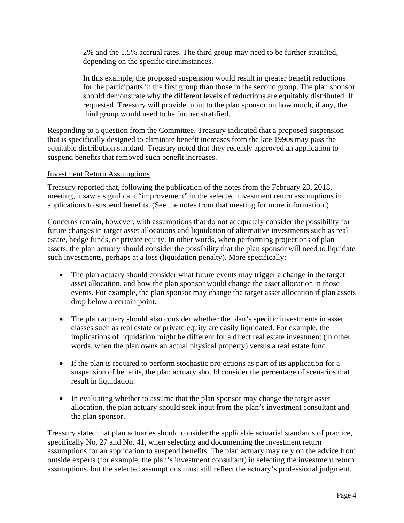2% and the 1.5% accrual rates. The third group may need to be further stratified, depending on the specific circumstances.

In this example, the proposed suspension would result in greater benefit reductions for the participants in the first group than those in the second group. The plan sponsor should demonstrate why the different levels of reductions are equitably distributed. If requested, Treasury will provide input to the plan sponsor on how much, if any, the third group would need to be further stratified.

Responding to a question from the Committee, Treasury indicated that a proposed suspension that is specifically designed to eliminate benefit increases from the late 1990s may pass the equitable distribution standard. Treasury noted that they recently approved an application to suspend benefits that removed such benefit increases.

### Investment Return Assumptions

Treasury reported that, following the publication of the notes from the February 23, 2018, meeting, it saw a significant "improvement" in the selected investment return assumptions in applications to suspend benefits. (See the notes from that meeting for more information.)

Concerns remain, however, with assumptions that do not adequately consider the possibility for future changes in target asset allocations and liquidation of alternative investments such as real estate, hedge funds, or private equity. In other words, when performing projections of plan assets, the plan actuary should consider the possibility that the plan sponsor will need to liquidate such investments, perhaps at a loss (liquidation penalty). More specifically:

- The plan actuary should consider what future events may trigger a change in the target asset allocation, and how the plan sponsor would change the asset allocation in those events. For example, the plan sponsor may change the target asset allocation if plan assets drop below a certain point.
- The plan actuary should also consider whether the plan's specific investments in asset classes such as real estate or private equity are easily liquidated. For example, the implications of liquidation might be different for a direct real estate investment (in other words, when the plan owns an actual physical property) versus a real estate fund.
- If the plan is required to perform stochastic projections as part of its application for a suspension of benefits, the plan actuary should consider the percentage of scenarios that result in liquidation.
- In evaluating whether to assume that the plan sponsor may change the target asset allocation, the plan actuary should seek input from the plan's investment consultant and the plan sponsor.

Treasury stated that plan actuaries should consider the applicable actuarial standards of practice, specifically No. 27 and No. 41, when selecting and documenting the investment return assumptions for an application to suspend benefits. The plan actuary may rely on the advice from outside experts (for example, the plan's investment consultant) in selecting the investment return assumptions, but the selected assumptions must still reflect the actuary's professional judgment.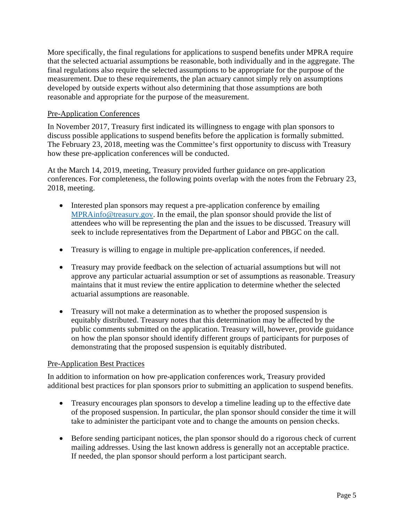More specifically, the final regulations for applications to suspend benefits under MPRA require that the selected actuarial assumptions be reasonable, both individually and in the aggregate. The final regulations also require the selected assumptions to be appropriate for the purpose of the measurement. Due to these requirements, the plan actuary cannot simply rely on assumptions developed by outside experts without also determining that those assumptions are both reasonable and appropriate for the purpose of the measurement.

#### Pre-Application Conferences

In November 2017, Treasury first indicated its willingness to engage with plan sponsors to discuss possible applications to suspend benefits before the application is formally submitted. The February 23, 2018, meeting was the Committee's first opportunity to discuss with Treasury how these pre-application conferences will be conducted.

At the March 14, 2019, meeting, Treasury provided further guidance on pre-application conferences. For completeness, the following points overlap with the notes from the February 23, 2018, meeting.

- Interested plan sponsors may request a pre-application conference by emailing [MPRAinfo@treasury.gov.](mailto:MPRAinfo@treasury.gov) In the email, the plan sponsor should provide the list of attendees who will be representing the plan and the issues to be discussed. Treasury will seek to include representatives from the Department of Labor and PBGC on the call.
- Treasury is willing to engage in multiple pre-application conferences, if needed.
- Treasury may provide feedback on the selection of actuarial assumptions but will not approve any particular actuarial assumption or set of assumptions as reasonable. Treasury maintains that it must review the entire application to determine whether the selected actuarial assumptions are reasonable.
- Treasury will not make a determination as to whether the proposed suspension is equitably distributed. Treasury notes that this determination may be affected by the public comments submitted on the application. Treasury will, however, provide guidance on how the plan sponsor should identify different groups of participants for purposes of demonstrating that the proposed suspension is equitably distributed.

#### Pre-Application Best Practices

In addition to information on how pre-application conferences work, Treasury provided additional best practices for plan sponsors prior to submitting an application to suspend benefits.

- Treasury encourages plan sponsors to develop a timeline leading up to the effective date of the proposed suspension. In particular, the plan sponsor should consider the time it will take to administer the participant vote and to change the amounts on pension checks.
- Before sending participant notices, the plan sponsor should do a rigorous check of current mailing addresses. Using the last known address is generally not an acceptable practice. If needed, the plan sponsor should perform a lost participant search.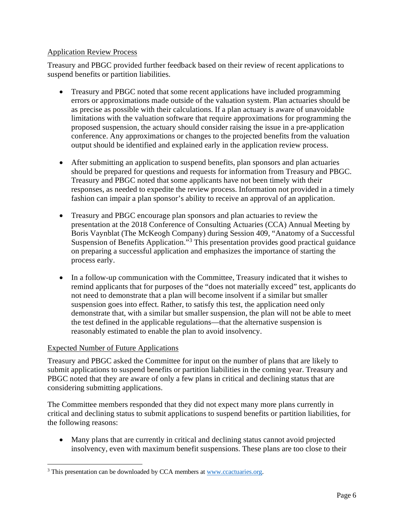# Application Review Process

Treasury and PBGC provided further feedback based on their review of recent applications to suspend benefits or partition liabilities.

- Treasury and PBGC noted that some recent applications have included programming errors or approximations made outside of the valuation system. Plan actuaries should be as precise as possible with their calculations. If a plan actuary is aware of unavoidable limitations with the valuation software that require approximations for programming the proposed suspension, the actuary should consider raising the issue in a pre-application conference. Any approximations or changes to the projected benefits from the valuation output should be identified and explained early in the application review process.
- After submitting an application to suspend benefits, plan sponsors and plan actuaries should be prepared for questions and requests for information from Treasury and PBGC. Treasury and PBGC noted that some applicants have not been timely with their responses, as needed to expedite the review process. Information not provided in a timely fashion can impair a plan sponsor's ability to receive an approval of an application.
- Treasury and PBGC encourage plan sponsors and plan actuaries to review the presentation at the 2018 Conference of Consulting Actuaries (CCA) Annual Meeting by Boris Vaynblat (The McKeogh Company) during Session 409, "Anatomy of a Successful Suspension of Benefits Application.<sup>[3](#page-5-0)</sup> This presentation provides good practical guidance on preparing a successful application and emphasizes the importance of starting the process early.
- In a follow-up communication with the Committee, Treasury indicated that it wishes to remind applicants that for purposes of the "does not materially exceed" test, applicants do not need to demonstrate that a plan will become insolvent if a similar but smaller suspension goes into effect. Rather, to satisfy this test, the application need only demonstrate that, with a similar but smaller suspension, the plan will not be able to meet the test defined in the applicable regulations—that the alternative suspension is reasonably estimated to enable the plan to avoid insolvency.

# Expected Number of Future Applications

Treasury and PBGC asked the Committee for input on the number of plans that are likely to submit applications to suspend benefits or partition liabilities in the coming year. Treasury and PBGC noted that they are aware of only a few plans in critical and declining status that are considering submitting applications.

The Committee members responded that they did not expect many more plans currently in critical and declining status to submit applications to suspend benefits or partition liabilities, for the following reasons:

• Many plans that are currently in critical and declining status cannot avoid projected insolvency, even with maximum benefit suspensions. These plans are too close to their

<span id="page-5-0"></span><sup>&</sup>lt;sup>3</sup> This presentation can be downloaded by CCA members at [www.ccactuaries.org.](http://www.ccactuaries.org/)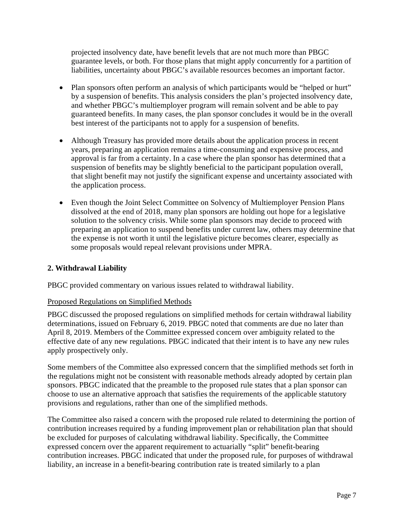projected insolvency date, have benefit levels that are not much more than PBGC guarantee levels, or both. For those plans that might apply concurrently for a partition of liabilities, uncertainty about PBGC's available resources becomes an important factor.

- Plan sponsors often perform an analysis of which participants would be "helped or hurt" by a suspension of benefits. This analysis considers the plan's projected insolvency date, and whether PBGC's multiemployer program will remain solvent and be able to pay guaranteed benefits. In many cases, the plan sponsor concludes it would be in the overall best interest of the participants not to apply for a suspension of benefits.
- Although Treasury has provided more details about the application process in recent years, preparing an application remains a time-consuming and expensive process, and approval is far from a certainty. In a case where the plan sponsor has determined that a suspension of benefits may be slightly beneficial to the participant population overall, that slight benefit may not justify the significant expense and uncertainty associated with the application process.
- Even though the Joint Select Committee on Solvency of Multiemployer Pension Plans dissolved at the end of 2018, many plan sponsors are holding out hope for a legislative solution to the solvency crisis. While some plan sponsors may decide to proceed with preparing an application to suspend benefits under current law, others may determine that the expense is not worth it until the legislative picture becomes clearer, especially as some proposals would repeal relevant provisions under MPRA.

# **2. Withdrawal Liability**

PBGC provided commentary on various issues related to withdrawal liability.

### Proposed Regulations on Simplified Methods

PBGC discussed the proposed regulations on simplified methods for certain withdrawal liability determinations, issued on February 6, 2019. PBGC noted that comments are due no later than April 8, 2019. Members of the Committee expressed concern over ambiguity related to the effective date of any new regulations. PBGC indicated that their intent is to have any new rules apply prospectively only.

Some members of the Committee also expressed concern that the simplified methods set forth in the regulations might not be consistent with reasonable methods already adopted by certain plan sponsors. PBGC indicated that the preamble to the proposed rule states that a plan sponsor can choose to use an alternative approach that satisfies the requirements of the applicable statutory provisions and regulations, rather than one of the simplified methods.

The Committee also raised a concern with the proposed rule related to determining the portion of contribution increases required by a funding improvement plan or rehabilitation plan that should be excluded for purposes of calculating withdrawal liability. Specifically, the Committee expressed concern over the apparent requirement to actuarially "split" benefit-bearing contribution increases. PBGC indicated that under the proposed rule, for purposes of withdrawal liability, an increase in a benefit-bearing contribution rate is treated similarly to a plan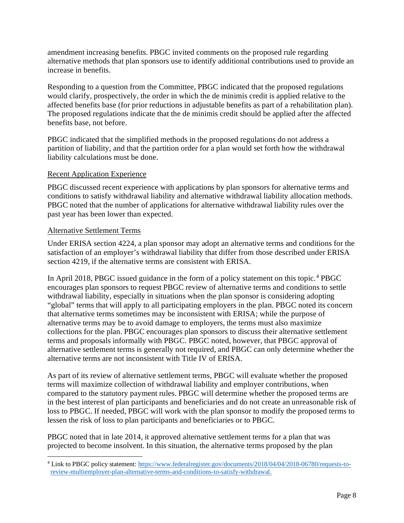amendment increasing benefits. PBGC invited comments on the proposed rule regarding alternative methods that plan sponsors use to identify additional contributions used to provide an increase in benefits.

Responding to a question from the Committee, PBGC indicated that the proposed regulations would clarify, prospectively, the order in which the de minimis credit is applied relative to the affected benefits base (for prior reductions in adjustable benefits as part of a rehabilitation plan). The proposed regulations indicate that the de minimis credit should be applied after the affected benefits base, not before.

PBGC indicated that the simplified methods in the proposed regulations do not address a partition of liability, and that the partition order for a plan would set forth how the withdrawal liability calculations must be done.

### Recent Application Experience

PBGC discussed recent experience with applications by plan sponsors for alternative terms and conditions to satisfy withdrawal liability and alternative withdrawal liability allocation methods. PBGC noted that the number of applications for alternative withdrawal liability rules over the past year has been lower than expected.

# Alternative Settlement Terms

Under ERISA section 4224, a plan sponsor may adopt an alternative terms and conditions for the satisfaction of an employer's withdrawal liability that differ from those described under ERISA section 4219, if the alternative terms are consistent with ERISA.

In April 2018, PBGC issued guidance in the form of a policy statement on this topic.<sup>[4](#page-7-0)</sup> PBGC encourages plan sponsors to request PBGC review of alternative terms and conditions to settle withdrawal liability, especially in situations when the plan sponsor is considering adopting "global" terms that will apply to all participating employers in the plan. PBGC noted its concern that alternative terms sometimes may be inconsistent with ERISA; while the purpose of alternative terms may be to avoid damage to employers, the terms must also maximize collections for the plan. PBGC encourages plan sponsors to discuss their alternative settlement terms and proposals informally with PBGC. PBGC noted, however, that PBGC approval of alternative settlement terms is generally not required, and PBGC can only determine whether the alternative terms are not inconsistent with Title IV of ERISA.

As part of its review of alternative settlement terms, PBGC will evaluate whether the proposed terms will maximize collection of withdrawal liability and employer contributions, when compared to the statutory payment rules. PBGC will determine whether the proposed terms are in the best interest of plan participants and beneficiaries and do not create an unreasonable risk of loss to PBGC. If needed, PBGC will work with the plan sponsor to modify the proposed terms to lessen the risk of loss to plan participants and beneficiaries or to PBGC.

PBGC noted that in late 2014, it approved alternative settlement terms for a plan that was projected to become insolvent. In this situation, the alternative terms proposed by the plan

<span id="page-7-0"></span><sup>4</sup> Link to PBGC policy statement: [https://www.federalregister.gov/documents/2018/04/04/2018-06780/requests-to](https://www.federalregister.gov/documents/2018/04/04/2018-06780/requests-to-review-multiemployer-plan-alternative-terms-and-conditions-to-satisfy-withdrawal)[review-multiemployer-plan-alternative-terms-and-conditions-to-satisfy-withdrawal.](https://www.federalregister.gov/documents/2018/04/04/2018-06780/requests-to-review-multiemployer-plan-alternative-terms-and-conditions-to-satisfy-withdrawal)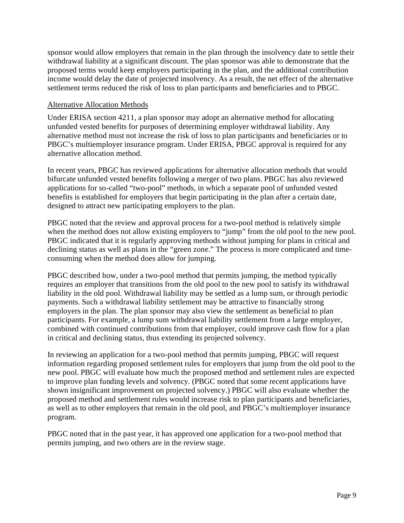sponsor would allow employers that remain in the plan through the insolvency date to settle their withdrawal liability at a significant discount. The plan sponsor was able to demonstrate that the proposed terms would keep employers participating in the plan, and the additional contribution income would delay the date of projected insolvency. As a result, the net effect of the alternative settlement terms reduced the risk of loss to plan participants and beneficiaries and to PBGC.

#### Alternative Allocation Methods

Under ERISA section 4211, a plan sponsor may adopt an alternative method for allocating unfunded vested benefits for purposes of determining employer withdrawal liability. Any alternative method must not increase the risk of loss to plan participants and beneficiaries or to PBGC's multiemployer insurance program. Under ERISA, PBGC approval is required for any alternative allocation method.

In recent years, PBGC has reviewed applications for alternative allocation methods that would bifurcate unfunded vested benefits following a merger of two plans. PBGC has also reviewed applications for so-called "two-pool" methods, in which a separate pool of unfunded vested benefits is established for employers that begin participating in the plan after a certain date, designed to attract new participating employers to the plan.

PBGC noted that the review and approval process for a two-pool method is relatively simple when the method does not allow existing employers to "jump" from the old pool to the new pool. PBGC indicated that it is regularly approving methods without jumping for plans in critical and declining status as well as plans in the "green zone." The process is more complicated and timeconsuming when the method does allow for jumping.

PBGC described how, under a two-pool method that permits jumping, the method typically requires an employer that transitions from the old pool to the new pool to satisfy its withdrawal liability in the old pool. Withdrawal liability may be settled as a lump sum, or through periodic payments. Such a withdrawal liability settlement may be attractive to financially strong employers in the plan. The plan sponsor may also view the settlement as beneficial to plan participants. For example, a lump sum withdrawal liability settlement from a large employer, combined with continued contributions from that employer, could improve cash flow for a plan in critical and declining status, thus extending its projected solvency.

In reviewing an application for a two-pool method that permits jumping, PBGC will request information regarding proposed settlement rules for employers that jump from the old pool to the new pool. PBGC will evaluate how much the proposed method and settlement rules are expected to improve plan funding levels and solvency. (PBGC noted that some recent applications have shown insignificant improvement on projected solvency.) PBGC will also evaluate whether the proposed method and settlement rules would increase risk to plan participants and beneficiaries, as well as to other employers that remain in the old pool, and PBGC's multiemployer insurance program.

PBGC noted that in the past year, it has approved one application for a two-pool method that permits jumping, and two others are in the review stage.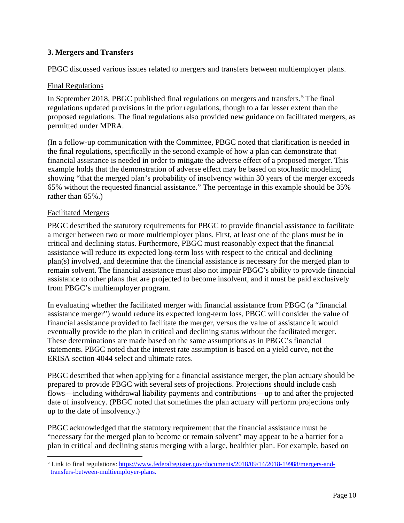# **3. Mergers and Transfers**

PBGC discussed various issues related to mergers and transfers between multiemployer plans.

# Final Regulations

In September 2018, PBGC published final regulations on mergers and transfers.<sup>[5](#page-9-0)</sup> The final regulations updated provisions in the prior regulations, though to a far lesser extent than the proposed regulations. The final regulations also provided new guidance on facilitated mergers, as permitted under MPRA.

(In a follow-up communication with the Committee, PBGC noted that clarification is needed in the final regulations, specifically in the second example of how a plan can demonstrate that financial assistance is needed in order to mitigate the adverse effect of a proposed merger. This example holds that the demonstration of adverse effect may be based on stochastic modeling showing "that the merged plan's probability of insolvency within 30 years of the merger exceeds 65% without the requested financial assistance." The percentage in this example should be 35% rather than 65%.)

# Facilitated Mergers

PBGC described the statutory requirements for PBGC to provide financial assistance to facilitate a merger between two or more multiemployer plans. First, at least one of the plans must be in critical and declining status. Furthermore, PBGC must reasonably expect that the financial assistance will reduce its expected long-term loss with respect to the critical and declining plan(s) involved, and determine that the financial assistance is necessary for the merged plan to remain solvent. The financial assistance must also not impair PBGC's ability to provide financial assistance to other plans that are projected to become insolvent, and it must be paid exclusively from PBGC's multiemployer program.

In evaluating whether the facilitated merger with financial assistance from PBGC (a "financial assistance merger") would reduce its expected long-term loss, PBGC will consider the value of financial assistance provided to facilitate the merger, versus the value of assistance it would eventually provide to the plan in critical and declining status without the facilitated merger. These determinations are made based on the same assumptions as in PBGC's financial statements. PBGC noted that the interest rate assumption is based on a yield curve, not the ERISA section 4044 select and ultimate rates.

PBGC described that when applying for a financial assistance merger, the plan actuary should be prepared to provide PBGC with several sets of projections. Projections should include cash flows—including withdrawal liability payments and contributions—up to and after the projected date of insolvency. (PBGC noted that sometimes the plan actuary will perform projections only up to the date of insolvency.)

PBGC acknowledged that the statutory requirement that the financial assistance must be "necessary for the merged plan to become or remain solvent" may appear to be a barrier for a plan in critical and declining status merging with a large, healthier plan. For example, based on

<span id="page-9-0"></span><sup>&</sup>lt;sup>5</sup> Link to final regulations: [https://www.federalregister.gov/documents/2018/09/14/2018-19988/mergers-and](https://www.federalregister.gov/documents/2018/09/14/2018-19988/mergers-and-transfers-between-multiemployer-plans)[transfers-between-multiemployer-plans.](https://www.federalregister.gov/documents/2018/09/14/2018-19988/mergers-and-transfers-between-multiemployer-plans)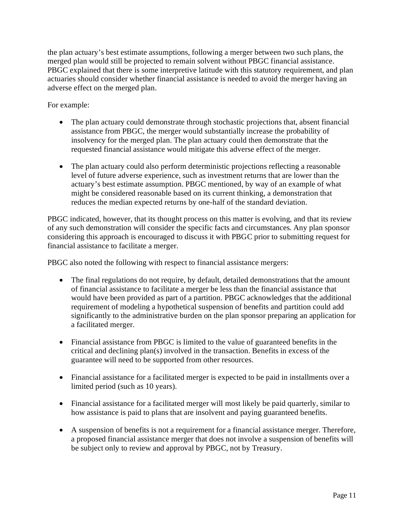the plan actuary's best estimate assumptions, following a merger between two such plans, the merged plan would still be projected to remain solvent without PBGC financial assistance. PBGC explained that there is some interpretive latitude with this statutory requirement, and plan actuaries should consider whether financial assistance is needed to avoid the merger having an adverse effect on the merged plan.

For example:

- The plan actuary could demonstrate through stochastic projections that, absent financial assistance from PBGC, the merger would substantially increase the probability of insolvency for the merged plan. The plan actuary could then demonstrate that the requested financial assistance would mitigate this adverse effect of the merger.
- The plan actuary could also perform deterministic projections reflecting a reasonable level of future adverse experience, such as investment returns that are lower than the actuary's best estimate assumption. PBGC mentioned, by way of an example of what might be considered reasonable based on its current thinking, a demonstration that reduces the median expected returns by one-half of the standard deviation.

PBGC indicated, however, that its thought process on this matter is evolving, and that its review of any such demonstration will consider the specific facts and circumstances. Any plan sponsor considering this approach is encouraged to discuss it with PBGC prior to submitting request for financial assistance to facilitate a merger.

PBGC also noted the following with respect to financial assistance mergers:

- The final regulations do not require, by default, detailed demonstrations that the amount of financial assistance to facilitate a merger be less than the financial assistance that would have been provided as part of a partition. PBGC acknowledges that the additional requirement of modeling a hypothetical suspension of benefits and partition could add significantly to the administrative burden on the plan sponsor preparing an application for a facilitated merger.
- Financial assistance from PBGC is limited to the value of guaranteed benefits in the critical and declining plan(s) involved in the transaction. Benefits in excess of the guarantee will need to be supported from other resources.
- Financial assistance for a facilitated merger is expected to be paid in installments over a limited period (such as 10 years).
- Financial assistance for a facilitated merger will most likely be paid quarterly, similar to how assistance is paid to plans that are insolvent and paying guaranteed benefits.
- A suspension of benefits is not a requirement for a financial assistance merger. Therefore, a proposed financial assistance merger that does not involve a suspension of benefits will be subject only to review and approval by PBGC, not by Treasury.